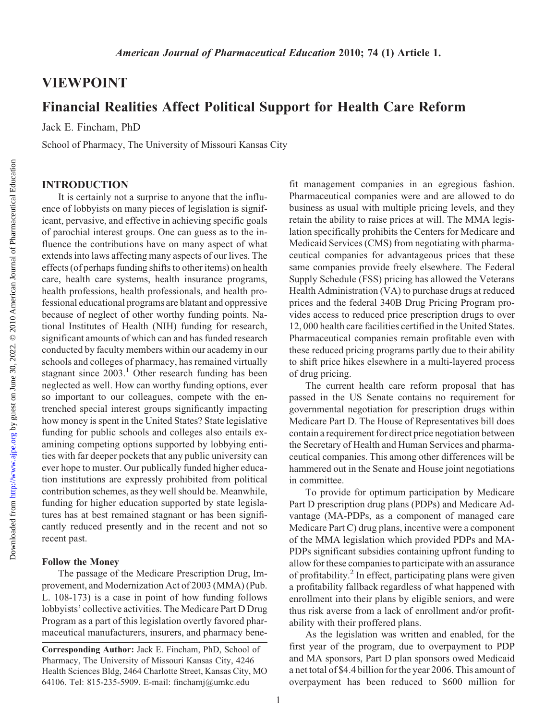School of Pharmacy, The University of Missouri Kansas City

## INTRODUCTION

It is certainly not a surprise to anyone that the influence of lobbyists on many pieces of legislation is significant, pervasive, and effective in achieving specific goals of parochial interest groups. One can guess as to the influence the contributions have on many aspect of what extends into laws affecting many aspects of our lives. The effects (of perhaps funding shifts to other items) on health care, health care systems, health insurance programs, health professions, health professionals, and health professional educational programs are blatant and oppressive because of neglect of other worthy funding points. National Institutes of Health (NIH) funding for research, significant amounts of which can and has funded research conducted by faculty members within our academy in our schools and colleges of pharmacy, has remained virtually stagnant since 2003.<sup>1</sup> Other research funding has been neglected as well. How can worthy funding options, ever so important to our colleagues, compete with the entrenched special interest groups significantly impacting how money is spent in the United States? State legislative funding for public schools and colleges also entails examining competing options supported by lobbying entities with far deeper pockets that any public university can ever hope to muster. Our publically funded higher education institutions are expressly prohibited from political contribution schemes, as they well should be. Meanwhile, funding for higher education supported by state legislatures has at best remained stagnant or has been significantly reduced presently and in the recent and not so recent past.

## Follow the Money

The passage of the Medicare Prescription Drug, Improvement, and Modernization Act of 2003 (MMA) (Pub. L. 108-173) is a case in point of how funding follows lobbyists' collective activities. The Medicare Part D Drug Program as a part of this legislation overtly favored pharmaceutical manufacturers, insurers, and pharmacy bene-

fit management companies in an egregious fashion. Pharmaceutical companies were and are allowed to do business as usual with multiple pricing levels, and they retain the ability to raise prices at will. The MMA legislation specifically prohibits the Centers for Medicare and Medicaid Services (CMS) from negotiating with pharmaceutical companies for advantageous prices that these same companies provide freely elsewhere. The Federal Supply Schedule (FSS) pricing has allowed the Veterans Health Administration (VA) to purchase drugs at reduced prices and the federal 340B Drug Pricing Program provides access to reduced price prescription drugs to over 12, 000 health care facilities certified in the United States. Pharmaceutical companies remain profitable even with these reduced pricing programs partly due to their ability to shift price hikes elsewhere in a multi-layered process of drug pricing.

The current health care reform proposal that has passed in the US Senate contains no requirement for governmental negotiation for prescription drugs within Medicare Part D. The House of Representatives bill does contain a requirement for direct price negotiation between the Secretary of Health and Human Services and pharmaceutical companies. This among other differences will be hammered out in the Senate and House joint negotiations in committee.

To provide for optimum participation by Medicare Part D prescription drug plans (PDPs) and Medicare Advantage (MA-PDPs, as a component of managed care Medicare Part C) drug plans, incentive were a component of the MMA legislation which provided PDPs and MA-PDPs significant subsidies containing upfront funding to allow for these companies to participate with an assurance of profitability. $^{2}$  In effect, participating plans were given a profitability fallback regardless of what happened with enrollment into their plans by eligible seniors, and were thus risk averse from a lack of enrollment and/or profitability with their proffered plans.

As the legislation was written and enabled, for the first year of the program, due to overpayment to PDP and MA sponsors, Part D plan sponsors owed Medicaid a net total of \$4.4 billion for the year 2006. This amount of overpayment has been reduced to \$600 million for

Corresponding Author: Jack E. Fincham, PhD, School of Pharmacy, The University of Missouri Kansas City, 4246 Health Sciences Bldg, 2464 Charlotte Street, Kansas City, MO 64106. Tel: 815-235-5909. E-mail: finchamj@umkc.edu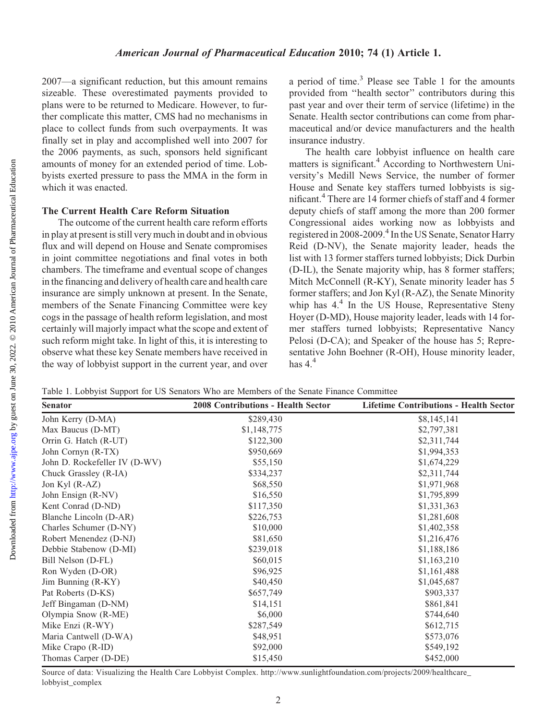2007—a significant reduction, but this amount remains sizeable. These overestimated payments provided to plans were to be returned to Medicare. However, to further complicate this matter, CMS had no mechanisms in place to collect funds from such overpayments. It was finally set in play and accomplished well into 2007 for the 2006 payments, as such, sponsors held significant amounts of money for an extended period of time. Lobbyists exerted pressure to pass the MMA in the form in which it was enacted.

## The Current Health Care Reform Situation

The outcome of the current health care reform efforts in play at present is still very much in doubt and in obvious flux and will depend on House and Senate compromises in joint committee negotiations and final votes in both chambers. The timeframe and eventual scope of changes in the financing and delivery of health care and health care insurance are simply unknown at present. In the Senate, members of the Senate Financing Committee were key cogs in the passage of health reform legislation, and most certainly will majorly impact what the scope and extent of such reform might take. In light of this, it is interesting to observe what these key Senate members have received in the way of lobbyist support in the current year, and over a period of time.<sup>3</sup> Please see Table 1 for the amounts provided from ''health sector'' contributors during this past year and over their term of service (lifetime) in the Senate. Health sector contributions can come from pharmaceutical and/or device manufacturers and the health insurance industry.

The health care lobbyist influence on health care matters is significant.<sup>4</sup> According to Northwestern University's Medill News Service, the number of former House and Senate key staffers turned lobbyists is significant.<sup>4</sup> There are 14 former chiefs of staff and 4 former deputy chiefs of staff among the more than 200 former Congressional aides working now as lobbyists and registered in 2008-2009.<sup>4</sup> In the US Senate, Senator Harry Reid (D-NV), the Senate majority leader, heads the list with 13 former staffers turned lobbyists; Dick Durbin (D-IL), the Senate majority whip, has 8 former staffers; Mitch McConnell (R-KY), Senate minority leader has 5 former staffers; and Jon Kyl (R-AZ), the Senate Minority whip has  $4<sup>4</sup>$  In the US House, Representative Steny Hoyer (D-MD), House majority leader, leads with 14 former staffers turned lobbyists; Representative Nancy Pelosi (D-CA); and Speaker of the house has 5; Representative John Boehner (R-OH), House minority leader, has  $4<sup>4</sup>$ 

Table 1. Lobbyist Support for US Senators Who are Members of the Senate Finance Committee

| <b>Senator</b>                | 2008 Contributions - Health Sector | <b>Lifetime Contributions - Health Sector</b> |
|-------------------------------|------------------------------------|-----------------------------------------------|
| John Kerry (D-MA)             | \$289,430                          | \$8,145,141                                   |
| Max Baucus (D-MT)             | \$1,148,775                        | \$2,797,381                                   |
| Orrin G. Hatch (R-UT)         | \$122,300                          | \$2,311,744                                   |
| John Cornyn (R-TX)            | \$950,669                          | \$1,994,353                                   |
| John D. Rockefeller IV (D-WV) | \$55,150                           | \$1,674,229                                   |
| Chuck Grassley (R-IA)         | \$334,237                          | \$2,311,744                                   |
| Jon Kyl $(R-AZ)$              | \$68,550                           | \$1,971,968                                   |
| John Ensign (R-NV)            | \$16,550                           | \$1,795,899                                   |
| Kent Conrad (D-ND)            | \$117,350                          | \$1,331,363                                   |
| Blanche Lincoln (D-AR)        | \$226,753                          | \$1,281,608                                   |
| Charles Schumer (D-NY)        | \$10,000                           | \$1,402,358                                   |
| Robert Menendez (D-NJ)        | \$81,650                           | \$1,216,476                                   |
| Debbie Stabenow (D-MI)        | \$239,018                          | \$1,188,186                                   |
| Bill Nelson (D-FL)            | \$60,015                           | \$1,163,210                                   |
| Ron Wyden (D-OR)              | \$96,925                           | \$1,161,488                                   |
| Jim Bunning (R-KY)            | \$40,450                           | \$1,045,687                                   |
| Pat Roberts (D-KS)            | \$657,749                          | \$903,337                                     |
| Jeff Bingaman (D-NM)          | \$14,151                           | \$861,841                                     |
| Olympia Snow (R-ME)           | \$6,000                            | \$744,640                                     |
| Mike Enzi (R-WY)              | \$287,549                          | \$612,715                                     |
| Maria Cantwell (D-WA)         | \$48,951                           | \$573,076                                     |
| Mike Crapo (R-ID)             | \$92,000                           | \$549,192                                     |
| Thomas Carper (D-DE)          | \$15,450                           | \$452,000                                     |